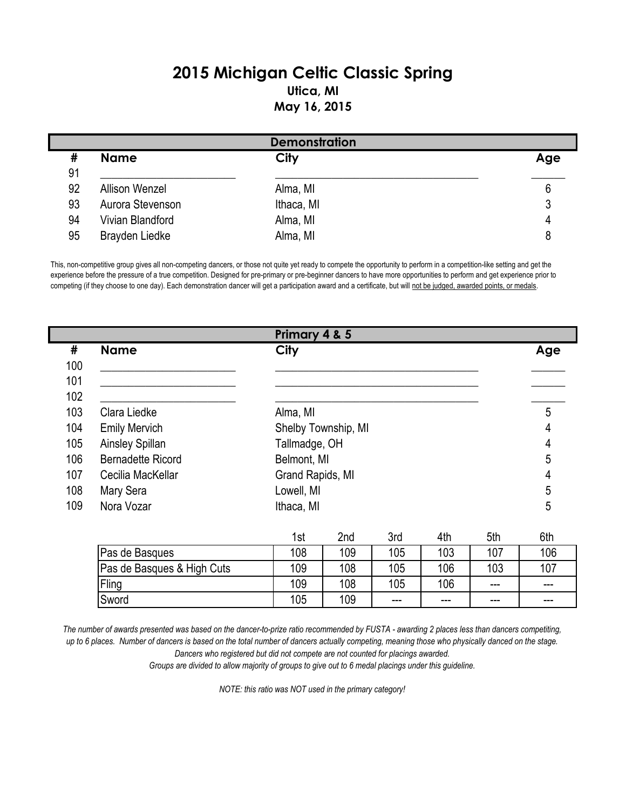## **2015 Michigan Celtic Classic Spring Utica, MI May 16, 2015**

| <b>Demonstration</b> |                       |            |     |  |  |
|----------------------|-----------------------|------------|-----|--|--|
| #                    | <b>Name</b>           | City       | Age |  |  |
| 91                   |                       |            |     |  |  |
| 92                   | <b>Allison Wenzel</b> | Alma, MI   | 6   |  |  |
| 93                   | Aurora Stevenson      | Ithaca, MI |     |  |  |
| 94                   | Vivian Blandford      | Alma, MI   | 4   |  |  |
| 95                   | Brayden Liedke        | Alma, MI   |     |  |  |

This, non-competitive group gives all non-competing dancers, or those not quite yet ready to compete the opportunity to perform in a competition-like setting and get the experience before the pressure of a true competition. Designed for pre-primary or pre-beginner dancers to have more opportunities to perform and get experience prior to competing (if they choose to one day). Each demonstration dancer will get a participation award and a certificate, but will not be judged, awarded points, or medals.

|     |                          | Primary 4 & 5       |     |     |     |     |     |
|-----|--------------------------|---------------------|-----|-----|-----|-----|-----|
| #   | <b>Name</b>              | <b>City</b>         |     |     |     |     | Age |
| 100 |                          |                     |     |     |     |     |     |
| 101 |                          |                     |     |     |     |     |     |
| 102 |                          |                     |     |     |     |     |     |
| 103 | Clara Liedke             | Alma, MI            |     |     |     |     | 5   |
| 104 | <b>Emily Mervich</b>     | Shelby Township, MI |     |     |     |     | 4   |
| 105 | Ainsley Spillan          | Tallmadge, OH       |     |     |     |     | 4   |
| 106 | <b>Bernadette Ricord</b> | Belmont, MI         |     |     |     |     | 5   |
| 107 | Cecilia MacKellar        | Grand Rapids, MI    |     |     |     |     | 4   |
| 108 | Mary Sera                | Lowell, MI          |     |     |     |     |     |
| 109 | Nora Vozar               | Ithaca, MI          |     |     |     |     | 5   |
|     |                          |                     |     |     |     |     |     |
|     |                          | 1st                 | 2nd | 3rd | 4th | 5th | 6th |
|     | Dee de Desause           | 100                 | 100 | 40E | 102 | 107 | 10C |

| Pas de Basques             | 108 | 109 | 105   | 103     | 107     | 106   |
|----------------------------|-----|-----|-------|---------|---------|-------|
| Pas de Basques & High Cuts | 109 | 108 | 105   | 106     | 103     | 107   |
| Fling                      | 109 | 108 | 105   | 106     | $-- -$  | ---   |
| Sword                      | 105 | 109 | $---$ | $- - -$ | $- - -$ | $---$ |

*The number of awards presented was based on the dancer-to-prize ratio recommended by FUSTA - awarding 2 places less than dancers competiting, up to 6 places. Number of dancers is based on the total number of dancers actually competing, meaning those who physically danced on the stage.* 

*Dancers who registered but did not compete are not counted for placings awarded.* 

*Groups are divided to allow majority of groups to give out to 6 medal placings under this guideline.*

*NOTE: this ratio was NOT used in the primary category!*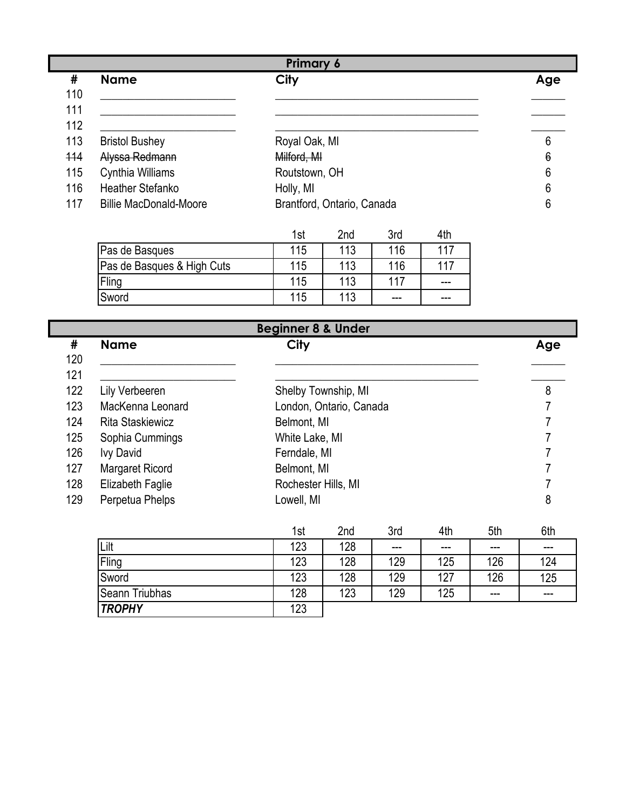|     | <b>Primary 6</b>              |                            |     |  |  |  |
|-----|-------------------------------|----------------------------|-----|--|--|--|
| #   | <b>Name</b>                   | <b>City</b>                | Age |  |  |  |
| 110 |                               |                            |     |  |  |  |
| 111 |                               |                            |     |  |  |  |
| 112 |                               |                            |     |  |  |  |
| 113 | <b>Bristol Bushey</b>         | Royal Oak, MI              | 6   |  |  |  |
| 114 | Alyssa Redmann                | Milford, MI                | 6   |  |  |  |
| 115 | Cynthia Williams              | Routstown, OH              | 6   |  |  |  |
| 116 | <b>Heather Stefanko</b>       | Holly, MI                  | 6   |  |  |  |
| 117 | <b>Billie MacDonald-Moore</b> | Brantford, Ontario, Canada | 6   |  |  |  |

|                            | 1st | 2 <sub>nd</sub> | 3rc | 4th |
|----------------------------|-----|-----------------|-----|-----|
| Pas de Basques             | 115 | 113             | 116 | 117 |
| Pas de Basques & High Cuts | 115 | 113             | 116 | 117 |
| Fling                      | 115 | 113             | 117 | --- |
| Sword                      | 115 | 113             | --- | --- |

| <b>Beginner 8 &amp; Under</b> |                         |                                                         |                   |  |  |
|-------------------------------|-------------------------|---------------------------------------------------------|-------------------|--|--|
| #                             | <b>Name</b>             | City                                                    | Age               |  |  |
| 120                           |                         |                                                         |                   |  |  |
| 121                           |                         |                                                         |                   |  |  |
| 122                           | Lily Verbeeren          | Shelby Township, MI                                     | 8                 |  |  |
| 123                           | MacKenna Leonard        | London, Ontario, Canada                                 |                   |  |  |
| 124                           | <b>Rita Staskiewicz</b> | Belmont, MI                                             |                   |  |  |
| 125                           | Sophia Cummings         | White Lake, MI                                          |                   |  |  |
| 126                           | <b>Ivy David</b>        | Ferndale, MI                                            |                   |  |  |
| 127                           | Margaret Ricord         | Belmont, MI                                             |                   |  |  |
| 128                           | Elizabeth Faglie        | Rochester Hills, MI                                     |                   |  |  |
| 129                           | Perpetua Phelps         | Lowell, MI                                              | 8                 |  |  |
|                               |                         | 2nd<br><b>Srd</b><br>A <sub>th</sub><br>1 <sub>ct</sub> | 5th<br><b>Ath</b> |  |  |

|                       | 1st | zna | ડra   | 4th     | bth    | bin |
|-----------------------|-----|-----|-------|---------|--------|-----|
| Lilt                  | 123 | 128 | $---$ | $- - -$ | $-- -$ | --- |
| Fling                 | 123 | 128 | 129   | 125     | 126    | 124 |
| Sword                 | 123 | 128 | 129   | 127     | 126    | 125 |
| <b>Seann Triubhas</b> | 128 | 123 | 129   | 125     | $-- -$ | --- |
| <b>TROPHY</b>         | 123 |     |       |         |        |     |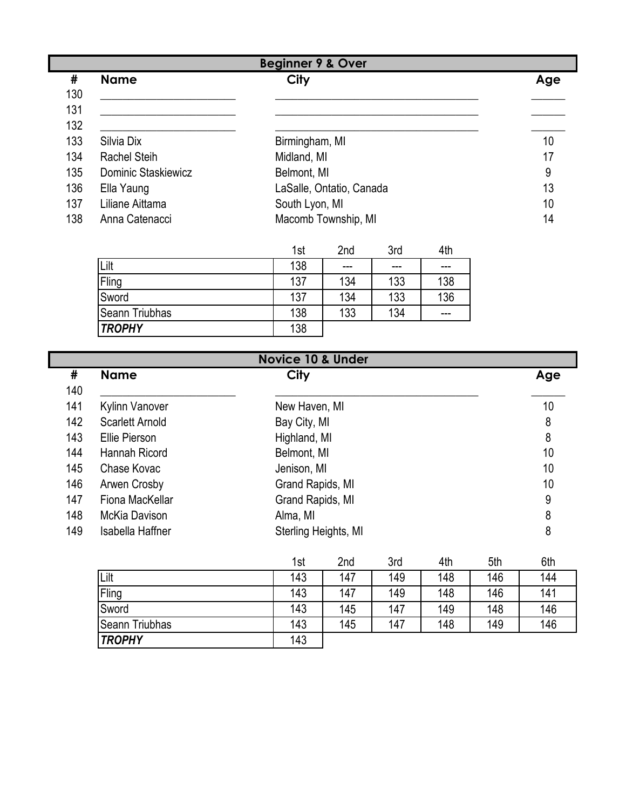| <b>Beginner 9 &amp; Over</b> |                     |                          |     |  |  |
|------------------------------|---------------------|--------------------------|-----|--|--|
| #                            | <b>Name</b>         | <b>City</b>              | Age |  |  |
| 130                          |                     |                          |     |  |  |
| 131                          |                     |                          |     |  |  |
| 132                          |                     |                          |     |  |  |
| 133                          | Silvia Dix          | Birmingham, MI           | 10  |  |  |
| 134                          | <b>Rachel Steih</b> | Midland, MI              | 17  |  |  |
| 135                          | Dominic Staskiewicz | Belmont, MI              | 9   |  |  |
| 136                          | Ella Yaung          | LaSalle, Ontatio, Canada | 13  |  |  |
| 137                          | Liliane Aittama     | South Lyon, MI           | 10  |  |  |
| 138                          | Anna Catenacci      | Macomb Township, MI      | 14  |  |  |

|                | 1st | 2nd | 3rd | 4th |
|----------------|-----|-----|-----|-----|
| Lilt           | 138 | --- | --- |     |
| Fling          | 137 | 134 | 133 | 138 |
| Sword          | 137 | 134 | 133 | 136 |
| Seann Triubhas | 138 | 133 | 134 | --- |
| <b>TROPHY</b>  | 138 |     |     |     |

| <b>Novice 10 &amp; Under</b> |                       |                      |     |  |  |
|------------------------------|-----------------------|----------------------|-----|--|--|
| #                            | <b>Name</b>           | <b>City</b>          | Age |  |  |
| 140                          |                       |                      |     |  |  |
| 141                          | <b>Kylinn Vanover</b> | New Haven, MI        | 10  |  |  |
| 142                          | Scarlett Arnold       | Bay City, MI         | 8   |  |  |
| 143                          | Ellie Pierson         | Highland, MI         | 8   |  |  |
| 144                          | Hannah Ricord         | Belmont, MI          | 10  |  |  |
| 145                          | Chase Kovac           | Jenison, MI          | 10  |  |  |
| 146                          | Arwen Crosby          | Grand Rapids, MI     | 10  |  |  |
| 147                          | Fiona MacKellar       | Grand Rapids, MI     | 9   |  |  |
| 148                          | McKia Davison         | Alma, MI             | 8   |  |  |
| 149                          | Isabella Haffner      | Sterling Heights, MI | 8   |  |  |

|                       | 1st | 2nd | 3rd | 4th | 5th | 6th |
|-----------------------|-----|-----|-----|-----|-----|-----|
| Lilt                  | 143 | 147 | 149 | 148 | 146 | 144 |
| Fling                 | 143 | 147 | 149 | 148 | 146 | 141 |
| Sword                 | 143 | 145 | 147 | 149 | 148 | 146 |
| <b>Seann Triubhas</b> | 143 | 145 | 147 | 148 | 149 | 146 |
| <b>TROPHY</b>         | 143 |     |     |     |     |     |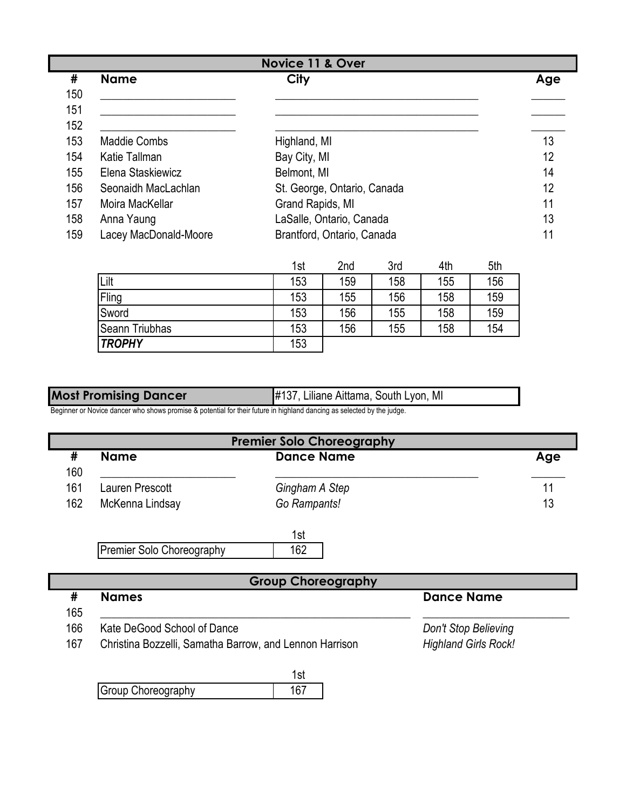| Novice 11 & Over |                       |                             |     |  |  |
|------------------|-----------------------|-----------------------------|-----|--|--|
| #                | <b>Name</b>           | <b>City</b>                 | Age |  |  |
| 150              |                       |                             |     |  |  |
| 151              |                       |                             |     |  |  |
| 152              |                       |                             |     |  |  |
| 153              | <b>Maddie Combs</b>   | Highland, MI                | 13  |  |  |
| 154              | Katie Tallman         | Bay City, MI                | 12  |  |  |
| 155              | Elena Staskiewicz     | Belmont, MI                 | 14  |  |  |
| 156              | Seonaidh MacLachlan   | St. George, Ontario, Canada | 12  |  |  |
| 157              | Moira MacKellar       | Grand Rapids, MI            | 11  |  |  |
| 158              | Anna Yaung            | LaSalle, Ontario, Canada    | 13  |  |  |
| 159              | Lacey MacDonald-Moore | Brantford, Ontario, Canada  | 11  |  |  |
|                  |                       |                             |     |  |  |

|                | 1st | 2 <sub>nd</sub> | 3rd | 4th | 5th |
|----------------|-----|-----------------|-----|-----|-----|
| Lilt           | 153 | 159             | 158 | 155 | 156 |
| Fling          | 153 | 155             | 156 | 158 | 159 |
| Sword          | 153 | 156             | 155 | 158 | 159 |
| Seann Triubhas | 153 | 156             | 155 | 158 | 154 |
| <b>TROPHY</b>  | 153 |                 |     |     |     |

| <b>Most Promising Dancer</b> | #137, Liliane Aittama, South Lyon, MI |
|------------------------------|---------------------------------------|
|                              |                                       |
| $\sim$ $\sim$                |                                       |

Beginner or Novice dancer who shows promise & potential for their future in highland dancing as selected by the judge.

| <b>Premier Solo Choreography</b> |                           |                           |                   |     |  |  |  |
|----------------------------------|---------------------------|---------------------------|-------------------|-----|--|--|--|
| #<br>160                         | <b>Name</b>               | <b>Dance Name</b>         |                   | Age |  |  |  |
| 161                              | Lauren Prescott           | Gingham A Step            |                   | 11  |  |  |  |
| 162                              | McKenna Lindsay           | Go Rampants!              |                   | 13  |  |  |  |
|                                  | Premier Solo Choreography | 1st<br>162                |                   |     |  |  |  |
|                                  |                           | <b>Group Choreography</b> |                   |     |  |  |  |
| #                                | <b>Names</b>              |                           | <b>Dance Name</b> |     |  |  |  |
| 165                              |                           |                           |                   |     |  |  |  |

| כסו  |                      |
|------|----------------------|
| 166. | Kata DoCood Sabool o |

166 Kate DeGood School of Dance *Don't Stop Believing*

167 *Highland Girls Rock!* Christina Bozzelli, Samatha Barrow, and Lennon Harrison

1st Group Choreography 167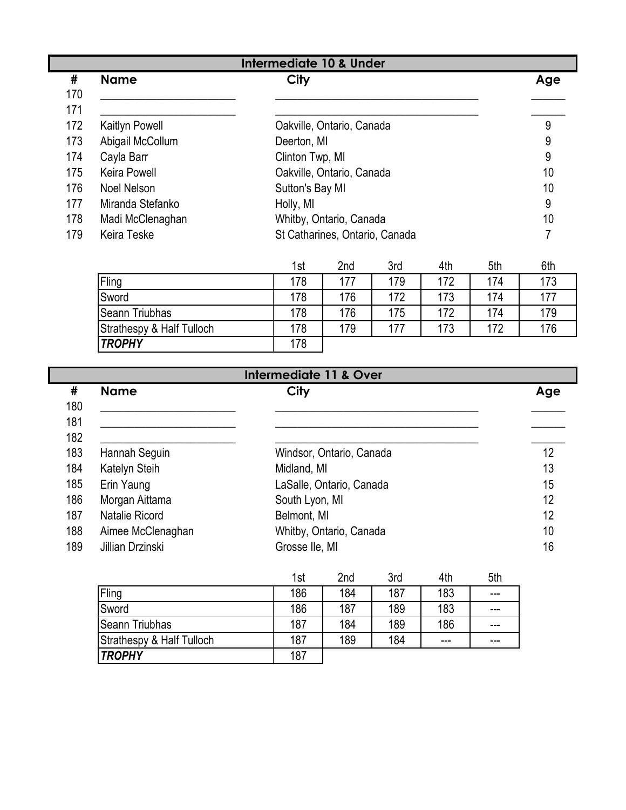| #   | <b>Name</b>         | City                           | Age |
|-----|---------------------|--------------------------------|-----|
| 170 |                     |                                |     |
| 171 |                     |                                |     |
| 172 | Kaitlyn Powell      | Oakville, Ontario, Canada      | 9   |
| 173 | Abigail McCollum    | Deerton, MI                    | 9   |
| 174 | Cayla Barr          | Clinton Twp, MI                | 9   |
| 175 | <b>Keira Powell</b> | Oakville, Ontario, Canada      | 10  |
| 176 | Noel Nelson         | Sutton's Bay MI                | 10  |
| 177 | Miranda Stefanko    | Holly, MI                      | 9   |
| 178 | Madi McClenaghan    | Whitby, Ontario, Canada        | 10  |
| 179 | Keira Teske         | St Catharines, Ontario, Canada |     |

|                           | 1st | 2nd | 3rd | 4th | 5th | 6th |
|---------------------------|-----|-----|-----|-----|-----|-----|
| Fling                     | 178 | 177 | 179 | 172 | 174 | 173 |
| Sword                     | 178 | 176 | 172 | 173 | 174 | 177 |
| <b>Seann Triubhas</b>     | 178 | 176 | 175 | 172 | 174 | 179 |
| Strathespy & Half Tulloch | 178 | 179 | 177 | 173 | 172 | 176 |
| <b>TROPHY</b>             | 178 |     |     |     |     |     |

| <b>Intermediate 11 &amp; Over</b> |                   |                          |     |  |  |
|-----------------------------------|-------------------|--------------------------|-----|--|--|
| #<br>180                          | <b>Name</b>       | <b>City</b>              | Age |  |  |
| 181                               |                   |                          |     |  |  |
| 182                               |                   |                          |     |  |  |
| 183                               | Hannah Seguin     | Windsor, Ontario, Canada | 12  |  |  |
| 184                               | Katelyn Steih     | Midland, MI              | 13  |  |  |
| 185                               | Erin Yaung        | LaSalle, Ontario, Canada | 15  |  |  |
| 186                               | Morgan Aittama    | South Lyon, MI           | 12  |  |  |
| 187                               | Natalie Ricord    | Belmont, MI              | 12  |  |  |
| 188                               | Aimee McClenaghan | Whitby, Ontario, Canada  | 10  |  |  |
| 189                               | Jillian Drzinski  | Grosse Ile, MI           | 16  |  |  |

| VIIIUII VIIIIIII          | <b>OLOUUV IIV, IVII</b> |     |     |     |       |
|---------------------------|-------------------------|-----|-----|-----|-------|
|                           | 1st                     | 2nd | 3rd | 4th | 5th   |
| Fling                     | 186                     | 184 | 187 | 183 | $---$ |
| Sword                     | 186                     | 187 | 189 | 183 | ---   |
| Seann Triubhas            | 187                     | 184 | 189 | 186 | ---   |
| Strathespy & Half Tulloch | 187                     | 189 | 184 | --- | ---   |
| <b>TROPHY</b>             | 187                     |     |     |     |       |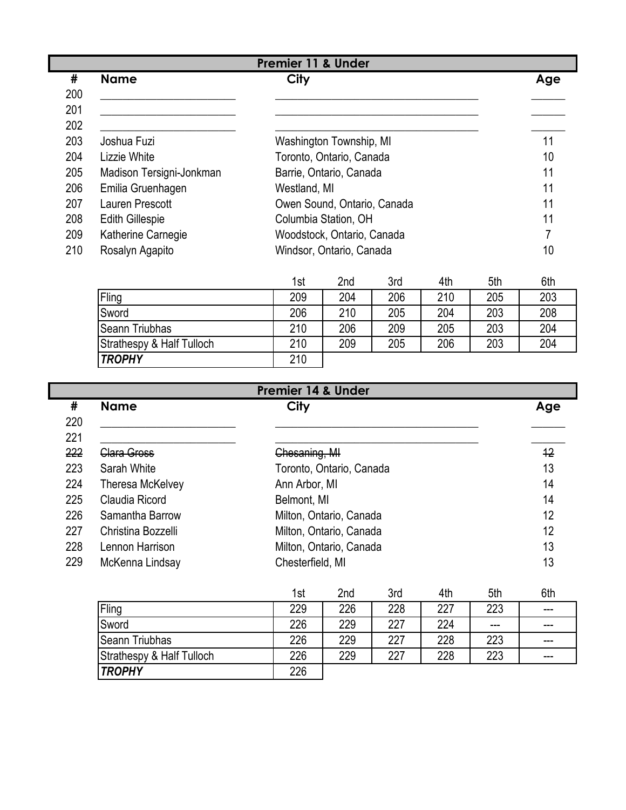|     | <b>Premier 11 &amp; Under</b> |                             |     |  |  |  |
|-----|-------------------------------|-----------------------------|-----|--|--|--|
| #   | <b>Name</b>                   | City                        | Age |  |  |  |
| 200 |                               |                             |     |  |  |  |
| 201 |                               |                             |     |  |  |  |
| 202 |                               |                             |     |  |  |  |
| 203 | Joshua Fuzi                   | Washington Township, MI     | 11  |  |  |  |
| 204 | Lizzie White                  | Toronto, Ontario, Canada    | 10  |  |  |  |
| 205 | Madison Tersigni-Jonkman      | Barrie, Ontario, Canada     | 11  |  |  |  |
| 206 | Emilia Gruenhagen             | Westland, MI                | 11  |  |  |  |
| 207 | Lauren Prescott               | Owen Sound, Ontario, Canada | 11  |  |  |  |
| 208 | <b>Edith Gillespie</b>        | Columbia Station, OH        | 11  |  |  |  |
| 209 | Katherine Carnegie            | Woodstock, Ontario, Canada  |     |  |  |  |
| 210 | Rosalyn Agapito               | Windsor, Ontario, Canada    | 10  |  |  |  |
|     |                               |                             |     |  |  |  |

|                           | 1st | 2nd | 3rd | 4th | 5th | 6th |
|---------------------------|-----|-----|-----|-----|-----|-----|
| Fling                     | 209 | 204 | 206 | 210 | 205 | 203 |
| Sword                     | 206 | 210 | 205 | 204 | 203 | 208 |
| <b>Seann Triubhas</b>     | 210 | 206 | 209 | 205 | 203 | 204 |
| Strathespy & Half Tulloch | 210 | 209 | 205 | 206 | 203 | 204 |
| <b>TROPHY</b>             | 210 |     |     |     |     |     |

|     | <b>Premier 14 &amp; Under</b> |                          |     |      |     |     |     |
|-----|-------------------------------|--------------------------|-----|------|-----|-----|-----|
| #   | <b>Name</b>                   | <b>City</b>              |     |      |     |     | Age |
| 220 |                               |                          |     |      |     |     |     |
| 221 |                               |                          |     |      |     |     |     |
| 222 | Clara Gross                   | Chesaning, MI            |     |      |     |     | 12  |
| 223 | Sarah White                   | Toronto, Ontario, Canada |     |      |     |     | 13  |
| 224 | <b>Theresa McKelvey</b>       | Ann Arbor, MI            |     |      |     |     | 14  |
| 225 | Claudia Ricord                | Belmont, MI              |     |      |     |     | 14  |
| 226 | Samantha Barrow               | Milton, Ontario, Canada  |     |      |     |     | 12  |
| 227 | Christina Bozzelli            | Milton, Ontario, Canada  |     |      |     |     | 12  |
| 228 | Lennon Harrison               | Milton, Ontario, Canada  |     |      |     |     | 13  |
| 229 | McKenna Lindsay               | Chesterfield, MI         |     |      |     |     | 13  |
|     |                               | 1st                      | 2nd | 3rd. | 4th | 5th | 6th |

|                           | 1st | 2nd | 3rd | 4th | 5th | 6th    |
|---------------------------|-----|-----|-----|-----|-----|--------|
| Fling                     | 229 | 226 | 228 | 227 | 223 | $---$  |
| Sword                     | 226 | 229 | 227 | 224 | --- | $---$  |
| Seann Triubhas            | 226 | 229 | 227 | 228 | 223 | $---$  |
| Strathespy & Half Tulloch | 226 | 229 | 227 | 228 | 223 | $-- -$ |
| <b>TROPHY</b>             | 226 |     |     |     |     |        |